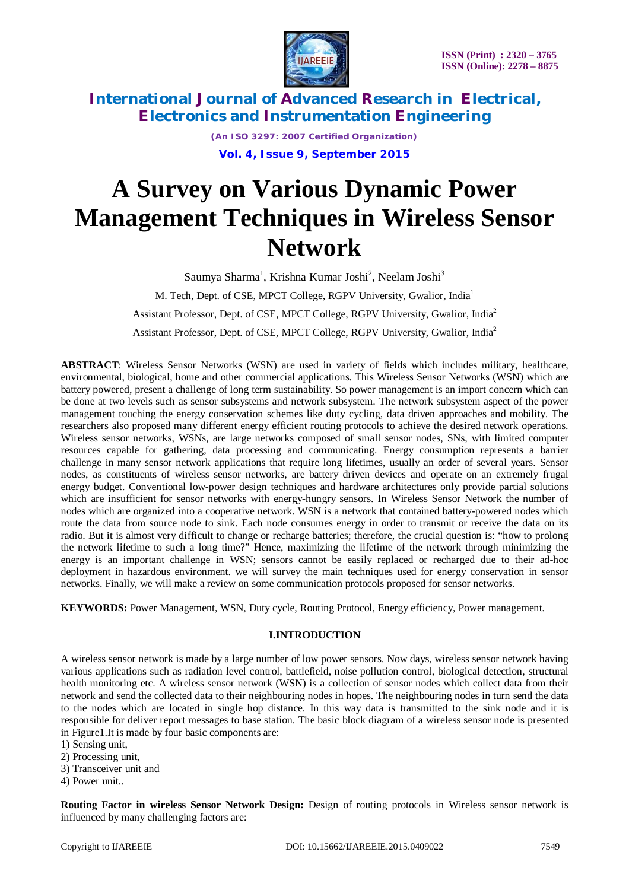

*(An ISO 3297: 2007 Certified Organization)* **Vol. 4, Issue 9, September 2015**

# **A Survey on Various Dynamic Power Management Techniques in Wireless Sensor Network**

Saumya Sharma<sup>1</sup>, Krishna Kumar Joshi<sup>2</sup>, Neelam Joshi<sup>3</sup> M. Tech, Dept. of CSE, MPCT College, RGPV University, Gwalior, India<sup>1</sup> Assistant Professor, Dept. of CSE, MPCT College, RGPV University, Gwalior, India<sup>2</sup> Assistant Professor, Dept. of CSE, MPCT College, RGPV University, Gwalior, India<sup>2</sup>

**ABSTRACT**: Wireless Sensor Networks (WSN) are used in variety of fields which includes military, healthcare, environmental, biological, home and other commercial applications. This Wireless Sensor Networks (WSN) which are battery powered, present a challenge of long term sustainability. So power management is an import concern which can be done at two levels such as sensor subsystems and network subsystem. The network subsystem aspect of the power management touching the energy conservation schemes like duty cycling, data driven approaches and mobility. The researchers also proposed many different energy efficient routing protocols to achieve the desired network operations. Wireless sensor networks, WSNs, are large networks composed of small sensor nodes, SNs, with limited computer resources capable for gathering, data processing and communicating. Energy consumption represents a barrier challenge in many sensor network applications that require long lifetimes, usually an order of several years. Sensor nodes, as constituents of wireless sensor networks, are battery driven devices and operate on an extremely frugal energy budget. Conventional low-power design techniques and hardware architectures only provide partial solutions which are insufficient for sensor networks with energy-hungry sensors. In Wireless Sensor Network the number of nodes which are organized into a cooperative network. WSN is a network that contained battery-powered nodes which route the data from source node to sink. Each node consumes energy in order to transmit or receive the data on its radio. But it is almost very difficult to change or recharge batteries; therefore, the crucial question is: "how to prolong the network lifetime to such a long time?" Hence, maximizing the lifetime of the network through minimizing the energy is an important challenge in WSN; sensors cannot be easily replaced or recharged due to their ad-hoc deployment in hazardous environment. we will survey the main techniques used for energy conservation in sensor networks. Finally, we will make a review on some communication protocols proposed for sensor networks.

**KEYWORDS:** Power Management, WSN, Duty cycle, Routing Protocol, Energy efficiency, Power management.

### **I.INTRODUCTION**

A wireless sensor network is made by a large number of low power sensors. Now days, wireless sensor network having various applications such as radiation level control, battlefield, noise pollution control, biological detection, structural health monitoring etc. A wireless sensor network (WSN) is a collection of sensor nodes which collect data from their network and send the collected data to their neighbouring nodes in hopes. The neighbouring nodes in turn send the data to the nodes which are located in single hop distance. In this way data is transmitted to the sink node and it is responsible for deliver report messages to base station. The basic block diagram of a wireless sensor node is presented in Figure1.It is made by four basic components are:

- 1) Sensing unit,
- 2) Processing unit,
- 3) Transceiver unit and
- 4) Power unit..

**Routing Factor in wireless Sensor Network Design:** Design of routing protocols in Wireless sensor network is influenced by many challenging factors are: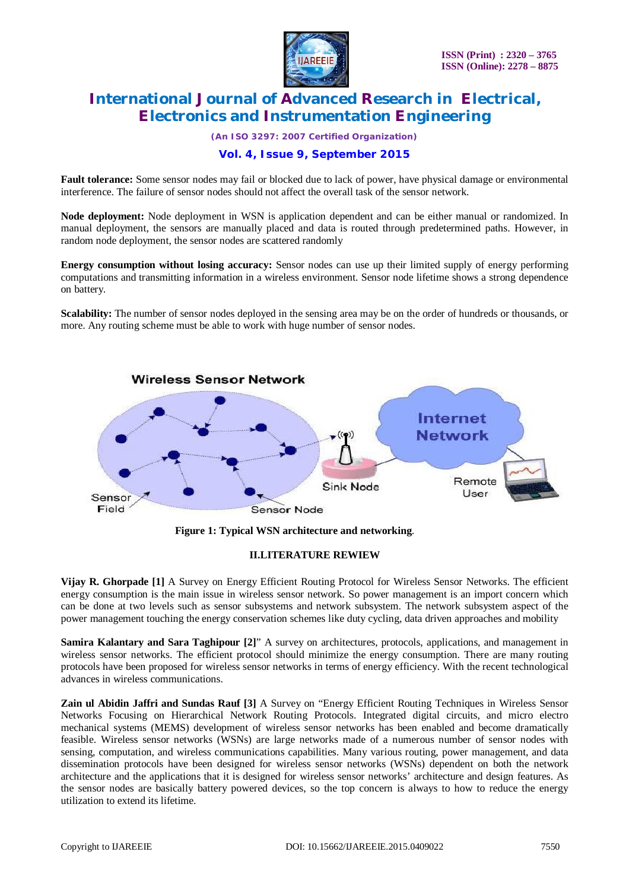

*(An ISO 3297: 2007 Certified Organization)*

### **Vol. 4, Issue 9, September 2015**

**Fault tolerance:** Some sensor nodes may fail or blocked due to lack of power, have physical damage or environmental interference. The failure of sensor nodes should not affect the overall task of the sensor network.

**Node deployment:** Node deployment in WSN is application dependent and can be either manual or randomized. In manual deployment, the sensors are manually placed and data is routed through predetermined paths. However, in random node deployment, the sensor nodes are scattered randomly

**Energy consumption without losing accuracy:** Sensor nodes can use up their limited supply of energy performing computations and transmitting information in a wireless environment. Sensor node lifetime shows a strong dependence on battery.

**Scalability:** The number of sensor nodes deployed in the sensing area may be on the order of hundreds or thousands, or more. Any routing scheme must be able to work with huge number of sensor nodes.



**Figure 1: Typical WSN architecture and networking**.

#### **II.LITERATURE REWIEW**

**Vijay R. Ghorpade [1]** A Survey on Energy Efficient Routing Protocol for Wireless Sensor Networks. The efficient energy consumption is the main issue in wireless sensor network. So power management is an import concern which can be done at two levels such as sensor subsystems and network subsystem. The network subsystem aspect of the power management touching the energy conservation schemes like duty cycling, data driven approaches and mobility

**Samira Kalantary and Sara Taghipour [2]**" A survey on architectures, protocols, applications, and management in wireless sensor networks. The efficient protocol should minimize the energy consumption. There are many routing protocols have been proposed for wireless sensor networks in terms of energy efficiency. With the recent technological advances in wireless communications.

**Zain ul Abidin Jaffri and Sundas Rauf [3]** A Survey on "Energy Efficient Routing Techniques in Wireless Sensor Networks Focusing on Hierarchical Network Routing Protocols. Integrated digital circuits, and micro electro mechanical systems (MEMS) development of wireless sensor networks has been enabled and become dramatically feasible. Wireless sensor networks (WSNs) are large networks made of a numerous number of sensor nodes with sensing, computation, and wireless communications capabilities. Many various routing, power management, and data dissemination protocols have been designed for wireless sensor networks (WSNs) dependent on both the network architecture and the applications that it is designed for wireless sensor networks' architecture and design features. As the sensor nodes are basically battery powered devices, so the top concern is always to how to reduce the energy utilization to extend its lifetime.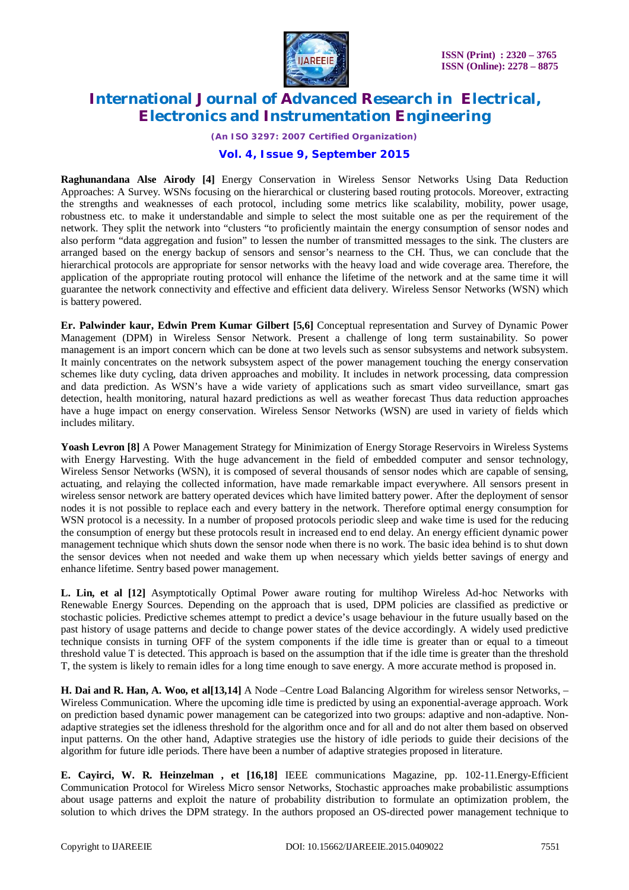

*(An ISO 3297: 2007 Certified Organization)*

### **Vol. 4, Issue 9, September 2015**

**Raghunandana Alse Airody [4]** Energy Conservation in Wireless Sensor Networks Using Data Reduction Approaches: A Survey. WSNs focusing on the hierarchical or clustering based routing protocols. Moreover, extracting the strengths and weaknesses of each protocol, including some metrics like scalability, mobility, power usage, robustness etc. to make it understandable and simple to select the most suitable one as per the requirement of the network. They split the network into "clusters "to proficiently maintain the energy consumption of sensor nodes and also perform "data aggregation and fusion" to lessen the number of transmitted messages to the sink. The clusters are arranged based on the energy backup of sensors and sensor's nearness to the CH. Thus, we can conclude that the hierarchical protocols are appropriate for sensor networks with the heavy load and wide coverage area. Therefore, the application of the appropriate routing protocol will enhance the lifetime of the network and at the same time it will guarantee the network connectivity and effective and efficient data delivery. Wireless Sensor Networks (WSN) which is battery powered.

**Er. Palwinder kaur, Edwin Prem Kumar Gilbert [5,6]** Conceptual representation and Survey of Dynamic Power Management (DPM) in Wireless Sensor Network. Present a challenge of long term sustainability. So power management is an import concern which can be done at two levels such as sensor subsystems and network subsystem. It mainly concentrates on the network subsystem aspect of the power management touching the energy conservation schemes like duty cycling, data driven approaches and mobility. It includes in network processing, data compression and data prediction. As WSN's have a wide variety of applications such as smart video surveillance, smart gas detection, health monitoring, natural hazard predictions as well as weather forecast Thus data reduction approaches have a huge impact on energy conservation. Wireless Sensor Networks (WSN) are used in variety of fields which includes military.

Yoash Levron [8] A Power Management Strategy for Minimization of Energy Storage Reservoirs in Wireless Systems with Energy Harvesting. With the huge advancement in the field of embedded computer and sensor technology, Wireless Sensor Networks (WSN), it is composed of several thousands of sensor nodes which are capable of sensing, actuating, and relaying the collected information, have made remarkable impact everywhere. All sensors present in wireless sensor network are battery operated devices which have limited battery power. After the deployment of sensor nodes it is not possible to replace each and every battery in the network. Therefore optimal energy consumption for WSN protocol is a necessity. In a number of proposed protocols periodic sleep and wake time is used for the reducing the consumption of energy but these protocols result in increased end to end delay. An energy efficient dynamic power management technique which shuts down the sensor node when there is no work. The basic idea behind is to shut down the sensor devices when not needed and wake them up when necessary which yields better savings of energy and enhance lifetime. Sentry based power management.

**L. Lin, et al [12]** Asymptotically Optimal Power aware routing for multihop Wireless Ad-hoc Networks with Renewable Energy Sources. Depending on the approach that is used, DPM policies are classified as predictive or stochastic policies. Predictive schemes attempt to predict a device's usage behaviour in the future usually based on the past history of usage patterns and decide to change power states of the device accordingly. A widely used predictive technique consists in turning OFF of the system components if the idle time is greater than or equal to a timeout threshold value T is detected. This approach is based on the assumption that if the idle time is greater than the threshold T, the system is likely to remain idles for a long time enough to save energy. A more accurate method is proposed in.

**H. Dai and R. Han, A. Woo, et al[13,14]** A Node –Centre Load Balancing Algorithm for wireless sensor Networks, – Wireless Communication. Where the upcoming idle time is predicted by using an exponential-average approach. Work on prediction based dynamic power management can be categorized into two groups: adaptive and non-adaptive. Nonadaptive strategies set the idleness threshold for the algorithm once and for all and do not alter them based on observed input patterns. On the other hand, Adaptive strategies use the history of idle periods to guide their decisions of the algorithm for future idle periods. There have been a number of adaptive strategies proposed in literature.

**E. Cayirci, W. R. Heinzelman , et [16,18]** IEEE communications Magazine, pp. 102-11.Energy-Efficient Communication Protocol for Wireless Micro sensor Networks, Stochastic approaches make probabilistic assumptions about usage patterns and exploit the nature of probability distribution to formulate an optimization problem, the solution to which drives the DPM strategy. In the authors proposed an OS-directed power management technique to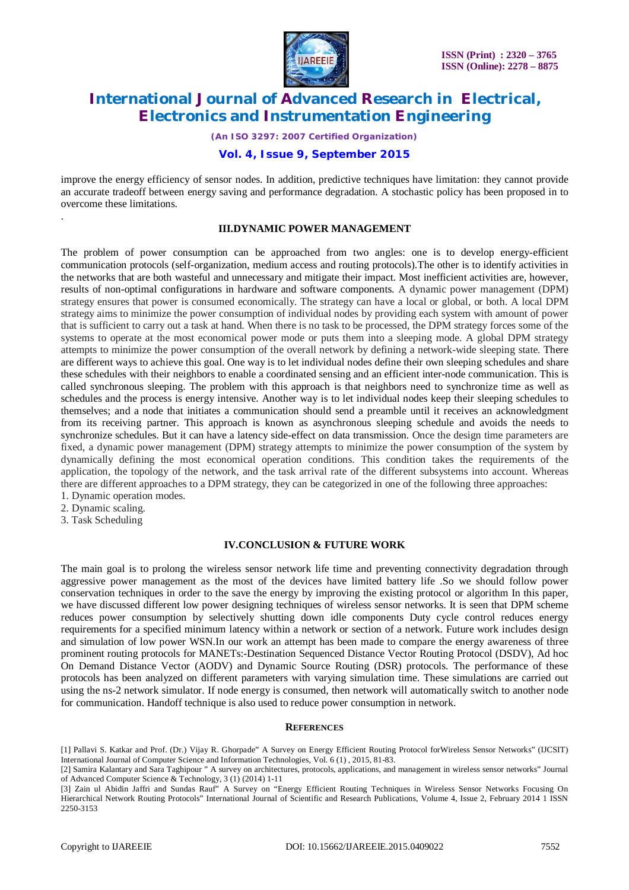

*(An ISO 3297: 2007 Certified Organization)*

### **Vol. 4, Issue 9, September 2015**

improve the energy efficiency of sensor nodes. In addition, predictive techniques have limitation: they cannot provide an accurate tradeoff between energy saving and performance degradation. A stochastic policy has been proposed in to overcome these limitations.

#### **III.DYNAMIC POWER MANAGEMENT**

The problem of power consumption can be approached from two angles: one is to develop energy-efficient communication protocols (self-organization, medium access and routing protocols).The other is to identify activities in the networks that are both wasteful and unnecessary and mitigate their impact. Most inefficient activities are, however, results of non-optimal configurations in hardware and software components. A dynamic power management (DPM) strategy ensures that power is consumed economically. The strategy can have a local or global, or both. A local DPM strategy aims to minimize the power consumption of individual nodes by providing each system with amount of power that is sufficient to carry out a task at hand. When there is no task to be processed, the DPM strategy forces some of the systems to operate at the most economical power mode or puts them into a sleeping mode. A global DPM strategy attempts to minimize the power consumption of the overall network by defining a network-wide sleeping state. There are different ways to achieve this goal. One way is to let individual nodes define their own sleeping schedules and share these schedules with their neighbors to enable a coordinated sensing and an efficient inter-node communication. This is called synchronous sleeping. The problem with this approach is that neighbors need to synchronize time as well as schedules and the process is energy intensive. Another way is to let individual nodes keep their sleeping schedules to themselves; and a node that initiates a communication should send a preamble until it receives an acknowledgment from its receiving partner. This approach is known as asynchronous sleeping schedule and avoids the needs to synchronize schedules. But it can have a latency side-effect on data transmission. Once the design time parameters are fixed, a dynamic power management (DPM) strategy attempts to minimize the power consumption of the system by dynamically defining the most economical operation conditions. This condition takes the requirements of the application, the topology of the network, and the task arrival rate of the different subsystems into account. Whereas there are different approaches to a DPM strategy, they can be categorized in one of the following three approaches:

- 1. Dynamic operation modes.
- 2. Dynamic scaling.

.

3. Task Scheduling

#### **IV.CONCLUSION & FUTURE WORK**

The main goal is to prolong the wireless sensor network life time and preventing connectivity degradation through aggressive power management as the most of the devices have limited battery life .So we should follow power conservation techniques in order to the save the energy by improving the existing protocol or algorithm In this paper, we have discussed different low power designing techniques of wireless sensor networks. It is seen that DPM scheme reduces power consumption by selectively shutting down idle components Duty cycle control reduces energy requirements for a specified minimum latency within a network or section of a network. Future work includes design and simulation of low power WSN.In our work an attempt has been made to compare the energy awareness of three prominent routing protocols for MANETs:-Destination Sequenced Distance Vector Routing Protocol (DSDV), Ad hoc On Demand Distance Vector (AODV) and Dynamic Source Routing (DSR) protocols. The performance of these protocols has been analyzed on different parameters with varying simulation time. These simulations are carried out using the ns-2 network simulator. If node energy is consumed, then network will automatically switch to another node for communication. Handoff technique is also used to reduce power consumption in network.

#### **REFERENCES**

- [1] Pallavi S. Katkar and Prof. (Dr.) Vijay R. Ghorpade" A Survey on Energy Efficient Routing Protocol forWireless Sensor Networks" (IJCSIT) International Journal of Computer Science and Information Technologies, Vol. 6 (1) , 2015, 81-83.
- [2] Samira Kalantary and Sara Taghipour " A survey on architectures, protocols, applications, and management in wireless sensor networks" Journal of Advanced Computer Science & Technology, 3 (1) (2014) 1-11
- [3] Zain ul Abidin Jaffri and Sundas Rauf" A Survey on "Energy Efficient Routing Techniques in Wireless Sensor Networks Focusing On Hierarchical Network Routing Protocols" International Journal of Scientific and Research Publications, Volume 4, Issue 2, February 2014 1 ISSN 2250-3153